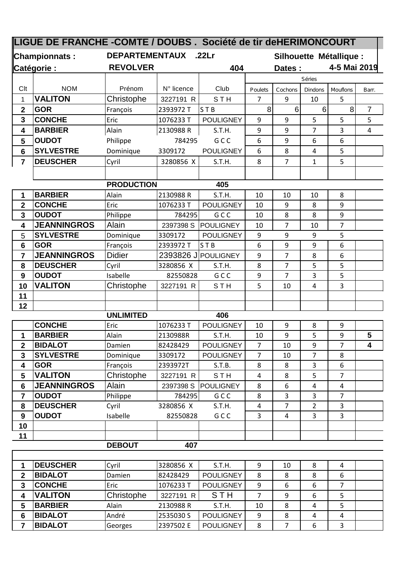| LIGUE DE FRANCHE - COMTE / DOUBS. Société de tir deHERIMONCOURT |                                    |                                            |                     |                         |                         |                     |                |                     |                |
|-----------------------------------------------------------------|------------------------------------|--------------------------------------------|---------------------|-------------------------|-------------------------|---------------------|----------------|---------------------|----------------|
| Championnats:                                                   |                                    | <b>DEPARTEMENTAUX</b><br>.22 <sub>Cr</sub> |                     |                         | Silhouette Métallique : |                     |                |                     |                |
| Catégorie :                                                     |                                    | <b>REVOLVER</b>                            |                     | 404                     |                         | Dates :             |                | 4-5 Mai 2019        |                |
|                                                                 |                                    |                                            |                     |                         |                         |                     | Séries         |                     |                |
| Clt                                                             | <b>NOM</b>                         | Prénom                                     | N° licence          | Club                    | Poulets                 | Cochons             | Dindons        | Mouflons            | Barr.          |
| 1                                                               | <b>VALITON</b>                     | Christophe                                 | 3227191 R           | <b>STH</b>              | 7                       | 9                   | 10             | 5                   |                |
| $\overline{2}$                                                  | <b>GOR</b>                         | François                                   | 2393972 T           | STB                     | 8                       | 6 <sup>1</sup>      | $6\phantom{1}$ | 8                   | $\overline{7}$ |
| 3                                                               | <b>CONCHE</b>                      | Eric                                       | 1076233 T           | <b>POULIGNEY</b>        | 9                       | 9                   | 5              | 5                   | 5              |
| 4                                                               | <b>BARBIER</b>                     | Alain                                      | 2130988R            | S.T.H.                  | 9                       | 9                   | $\overline{7}$ | 3                   | $\overline{4}$ |
| 5                                                               | <b>OUDOT</b>                       | Philippe                                   | 784295              | GCC                     | 6                       | 9                   | 6              | 6                   |                |
| 6                                                               | <b>SYLVESTRE</b>                   | Dominique                                  | 3309172             | <b>POULIGNEY</b>        | 6                       | 8                   | 4              | 5                   |                |
| $\overline{7}$                                                  | <b>DEUSCHER</b>                    | Cyril                                      | 3280856 X           | S.T.H.                  | 8                       | $\overline{7}$      | $\mathbf{1}$   | 5                   |                |
|                                                                 |                                    |                                            |                     |                         |                         |                     |                |                     |                |
|                                                                 |                                    | <b>PRODUCTION</b>                          |                     | 405                     |                         |                     |                |                     |                |
| 1                                                               | <b>BARBIER</b>                     | Alain                                      | 2130988R            | S.T.H.                  | 10                      | 10                  | 10             | 8                   |                |
| $\overline{\mathbf{2}}$                                         | <b>CONCHE</b>                      | Eric                                       | 1076233 T           | <b>POULIGNEY</b>        | 10                      | 9                   | 8              | 9                   |                |
| 3                                                               | <b>OUDOT</b>                       | Philippe                                   | 784295              | GCC                     | 10                      | 8                   | 8              | 9                   |                |
| 4                                                               | <b>JEANNINGROS</b>                 | Alain                                      | 2397398 S           | <b>POULIGNEY</b>        | 10                      | $\overline{7}$      | 10             | $\overline{7}$      |                |
| 5                                                               | <b>SYLVESTRE</b>                   | Dominique                                  | 3309172             | <b>POULIGNEY</b>        | 9                       | 9                   | 9              | 5                   |                |
| 6                                                               | <b>GOR</b>                         | François                                   | 2393972 T           | ST <sub>B</sub>         | 6                       | 9                   | 9              | 6                   |                |
| $\overline{7}$                                                  | <b>JEANNINGROS</b>                 | <b>Didier</b>                              | 2393826 J           | POULIGNEY               | 9                       | $\overline{7}$      | 8              | 6                   |                |
| 8                                                               | <b>DEUSCHER</b>                    | Cyril                                      | 3280856 X           | S.T.H.                  | 8                       | $\overline{7}$      | 5              | 5                   |                |
| 9                                                               | <b>OUDOT</b>                       | Isabelle                                   | 82550828            | GCC                     | 9                       | $\overline{7}$      | 3              | 5                   |                |
| 10                                                              | <b>VALITON</b>                     | Christophe                                 | 3227191 R           | <b>STH</b>              | 5                       | 10                  | 4              | 3                   |                |
| 11                                                              |                                    |                                            |                     |                         |                         |                     |                |                     |                |
| 12                                                              |                                    |                                            |                     |                         |                         |                     |                |                     |                |
|                                                                 |                                    | <b>UNLIMITED</b>                           |                     | 406                     |                         |                     |                |                     |                |
|                                                                 | <b>CONCHE</b>                      | Eric                                       | 1076233 T           | <b>POULIGNEY</b>        | 10                      | 9                   | 8              | 9                   |                |
| 1                                                               | <b>BARBIER</b>                     | Alain                                      | 2130988R            | S.T.H.                  | 10                      | 9                   | 5              | 9                   | 5              |
| 2                                                               | <b>BIDALOT</b>                     | Damien                                     | 82428429            | <b>POULIGNEY</b>        | 7                       | 10                  | 9              | 7                   | 4              |
| 3                                                               | <b>SYLVESTRE</b>                   | Dominique                                  | 3309172             | <b>POULIGNEY</b>        | $\overline{7}$          | 10                  | $\overline{7}$ | 8                   |                |
| 4                                                               | <b>GOR</b><br><b>VALITON</b>       | François                                   | 2393972T            | S.T.B.                  | 8                       | 8                   | 3              | 6                   |                |
| 5                                                               |                                    | Christophe                                 | 3227191 R           | STH                     | 4                       | 8                   | 5              | $\overline{7}$      |                |
| 6<br>7                                                          | <b>JEANNINGROS</b><br><b>OUDOT</b> | Alain<br>Philippe                          | 2397398 S<br>784295 | <b>POULIGNEY</b><br>GCC | 8<br>8                  | 6<br>$\overline{3}$ | 4<br>3         | 4<br>$\overline{7}$ |                |
| 8                                                               | <b>DEUSCHER</b>                    | Cyril                                      | 3280856 X           | S.T.H.                  | 4                       | $\overline{7}$      | $\overline{2}$ | 3                   |                |
| $\boldsymbol{9}$                                                | <b>OUDOT</b>                       | Isabelle                                   | 82550828            | GCC                     | 3                       | 4                   | 3              | 3                   |                |
| 10                                                              |                                    |                                            |                     |                         |                         |                     |                |                     |                |
| 11                                                              |                                    |                                            |                     |                         |                         |                     |                |                     |                |
|                                                                 |                                    | <b>DEBOUT</b>                              | 407                 |                         |                         |                     |                |                     |                |
|                                                                 |                                    |                                            |                     |                         |                         |                     |                |                     |                |

|   | <b>DEUSCHER</b> | Cvril      | 3280856 X | S.T.H.           |    | 10 | 8 | 4 |  |
|---|-----------------|------------|-----------|------------------|----|----|---|---|--|
| າ | <b>BIDALOT</b>  | Damien     | 82428429  | <b>POULIGNEY</b> | 8  | 8  | 8 | 6 |  |
| З | <b>CONCHE</b>   | Eric       | 1076233 T | <b>POULIGNEY</b> | 9  | 6  | 6 |   |  |
|   | <b>VALITON</b>  | Christophe | 3227191 R | <b>STH</b>       |    | 9  | 6 |   |  |
|   | <b>BARBIER</b>  | Alain      | 2130988 R | S.T.H.           | 10 | 8  |   |   |  |
| 6 | <b>BIDALOT</b>  | André      | 2535030 S | <b>POULIGNEY</b> | 9  | 8  |   | 4 |  |
|   | <b>BIDALOT</b>  | Georges    | 2397502 E | <b>POULIGNEY</b> | 8  |    | 6 |   |  |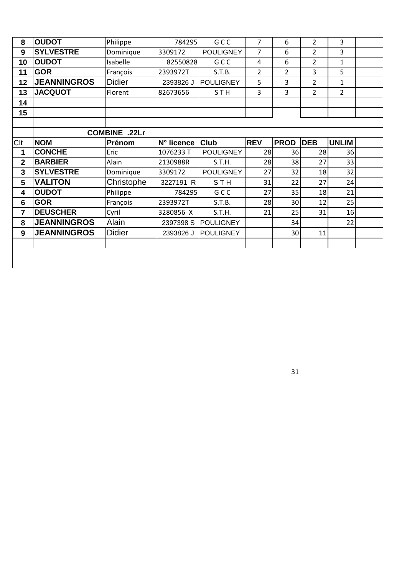| 8              | <b>OUDOT</b>       | Philippe      | 784295     | GCC              | $\overline{7}$ | 6           | $\overline{2}$ | 3              |  |
|----------------|--------------------|---------------|------------|------------------|----------------|-------------|----------------|----------------|--|
| 9              | <b>SYLVESTRE</b>   | Dominique     | 3309172    | <b>POULIGNEY</b> | 7              | 6           | $\overline{2}$ | 3              |  |
| 10             | <b>OUDOT</b>       | Isabelle      | 82550828   | G C C            | 4              | 6           | $\overline{2}$ | 1              |  |
| 11             | <b>GOR</b>         | François      | 2393972T   | S.T.B.           | 2              | 2           | 3              | 5              |  |
| 12             | <b>JEANNINGROS</b> | <b>Didier</b> | 2393826 J  | POULIGNEY        | 5              | 3           | $\overline{2}$ | 1              |  |
| 13             | <b>JACQUOT</b>     | Florent       | 82673656   | STH              | 3              | 3           | $\overline{2}$ | $\overline{2}$ |  |
| 14             |                    |               |            |                  |                |             |                |                |  |
| 15             |                    |               |            |                  |                |             |                |                |  |
|                |                    |               |            |                  |                |             |                |                |  |
|                |                    | COMBINE .22Lr |            |                  |                |             |                |                |  |
| Clt            | <b>NOM</b>         | Prénom        | N° licence | Club             | <b>REV</b>     | <b>PROD</b> | <b>DEB</b>     | <b>UNLIM</b>   |  |
| 1              | <b>CONCHE</b>      | Eric          | 1076233 T  | <b>POULIGNEY</b> | 28             | 36          | 28             | 36             |  |
| $\overline{2}$ | <b>BARBIER</b>     | Alain         | 2130988R   | S.T.H.           | 28             | 38          | 27             | 33             |  |
| 3              | <b>SYLVESTRE</b>   | Dominique     | 3309172    | <b>POULIGNEY</b> | 27             | 32          | 18             | 32             |  |
| 5              | <b>VALITON</b>     | Christophe    | 3227191 R  | <b>STH</b>       | 31             | 22          | 27             | 24             |  |
| 4              | <b>OUDOT</b>       | Philippe      | 784295     | GCC              | 27             | 35          | 18             | 21             |  |
| 6              | <b>GOR</b>         | François      | 2393972T   | S.T.B.           | 28             | 30          | 12             | 25             |  |
| 7              | <b>DEUSCHER</b>    | Cyril         | 3280856 X  | S.T.H.           | 21             | 25          | 31             | 16             |  |
| 8              | <b>JEANNINGROS</b> | Alain         | 2397398 S  | <b>POULIGNEY</b> |                | 34          |                | 22             |  |
| 9              | <b>JEANNINGROS</b> | <b>Didier</b> | 2393826 J  | <b>POULIGNEY</b> |                | 30          | 11             |                |  |
|                |                    |               |            |                  |                |             |                |                |  |
|                |                    |               |            |                  |                |             |                |                |  |
|                |                    |               |            |                  |                |             |                |                |  |
|                |                    |               |            |                  |                |             |                |                |  |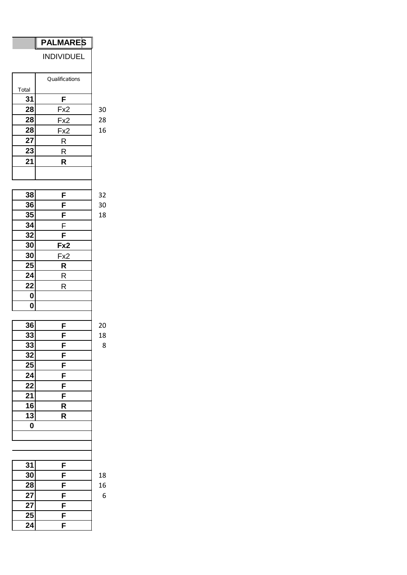## **PALMARES**

INDIVIDUEL

|       | Qualifications |
|-------|----------------|
| Total |                |
| 31    | F              |
| 28    | Fx2            |
| 28    | Fx2            |
| 28    | Fx2            |
| 27    | R              |
| 23    | R              |
| 21    | R              |
|       |                |
|       |                |

| 38              | F                       | 32 |
|-----------------|-------------------------|----|
| 36              | F                       | 30 |
| 35              | $\overline{\mathsf{F}}$ | 18 |
| 34              | F                       |    |
| $\overline{32}$ | F                       |    |
| 30              | Fx2                     |    |
| 30              | Fx2                     |    |
| 25              | $\overline{\mathsf{R}}$ |    |
| $2\overline{4}$ | $\overline{\mathsf{R}}$ |    |
| 22              | R                       |    |
| 0               |                         |    |
| $\mathbf 0$     |                         |    |
|                 |                         |    |
| 36              | F                       | 20 |
| 33              |                         | 18 |
| 33              | $\frac{F}{F}$           | 8  |
| 32              |                         |    |
| 25              | $\overline{\mathsf{F}}$ |    |
| 24              | $\overline{F}$          |    |
| <u>22</u>       | $\overline{F}$          |    |
| $\overline{21}$ | F                       |    |
| $\overline{16}$ | R                       |    |
| $\overline{13}$ | R                       |    |
| $\mathbf 0$     |                         |    |
|                 |                         |    |
|                 |                         |    |
|                 |                         |    |
| 31              | F                       |    |
|                 |                         |    |

| 30 | F | 18 |
|----|---|----|
| 28 | F | 16 |
| 27 | F | 6  |
| 27 | F |    |
| 25 | F |    |
| 24 | F |    |